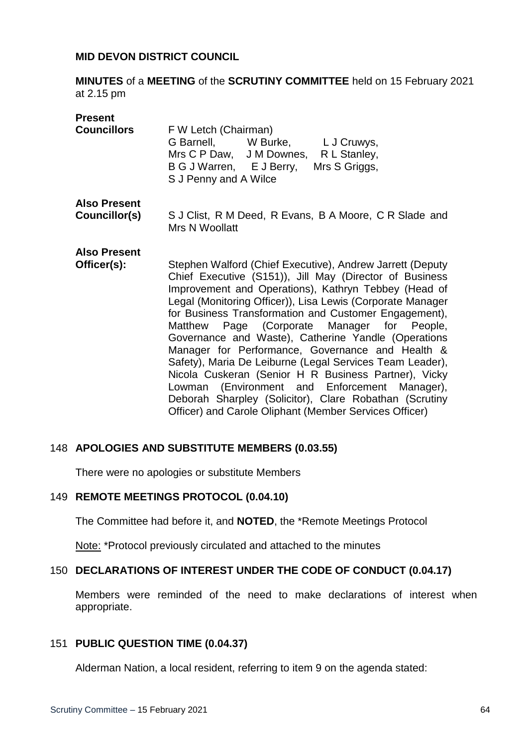#### **MID DEVON DISTRICT COUNCIL**

**MINUTES** of a **MEETING** of the **SCRUTINY COMMITTEE** held on 15 February 2021 at 2.15 pm

| <b>Present</b><br><b>Councillors</b> | F W Letch (Chairman)<br>G Barnell, W Burke, L J Cruwys,<br>Mrs C P Daw, J M Downes, R L Stanley,<br>B G J Warren, E J Berry,<br>Mrs S Griggs,<br>S J Penny and A Wilce                                                                                                                                                                                                                                                                                                                                                                                                                                                                                                                                                                                 |
|--------------------------------------|--------------------------------------------------------------------------------------------------------------------------------------------------------------------------------------------------------------------------------------------------------------------------------------------------------------------------------------------------------------------------------------------------------------------------------------------------------------------------------------------------------------------------------------------------------------------------------------------------------------------------------------------------------------------------------------------------------------------------------------------------------|
| <b>Also Present</b><br>Councillor(s) | S J Clist, R M Deed, R Evans, B A Moore, C R Slade and<br>Mrs N Woollatt                                                                                                                                                                                                                                                                                                                                                                                                                                                                                                                                                                                                                                                                               |
| <b>Also Present</b><br>Officer(s):   | Stephen Walford (Chief Executive), Andrew Jarrett (Deputy<br>Chief Executive (S151)), Jill May (Director of Business<br>Improvement and Operations), Kathryn Tebbey (Head of<br>Legal (Monitoring Officer)), Lisa Lewis (Corporate Manager<br>for Business Transformation and Customer Engagement),<br>Matthew Page (Corporate Manager for People,<br>Governance and Waste), Catherine Yandle (Operations<br>Manager for Performance, Governance and Health &<br>Safety), Maria De Leiburne (Legal Services Team Leader),<br>Nicola Cuskeran (Senior H R Business Partner), Vicky<br>Lowman (Environment and Enforcement Manager),<br>Deborah Sharpley (Solicitor), Clare Robathan (Scrutiny<br>Officer) and Carole Oliphant (Member Services Officer) |

## 148 **APOLOGIES AND SUBSTITUTE MEMBERS (0.03.55)**

There were no apologies or substitute Members

#### 149 **REMOTE MEETINGS PROTOCOL (0.04.10)**

The Committee had before it, and **NOTED**, the \*Remote Meetings Protocol

Note: \*Protocol previously circulated and attached to the minutes

#### 150 **DECLARATIONS OF INTEREST UNDER THE CODE OF CONDUCT (0.04.17)**

Members were reminded of the need to make declarations of interest when appropriate.

#### 151 **PUBLIC QUESTION TIME (0.04.37)**

Alderman Nation, a local resident, referring to item 9 on the agenda stated: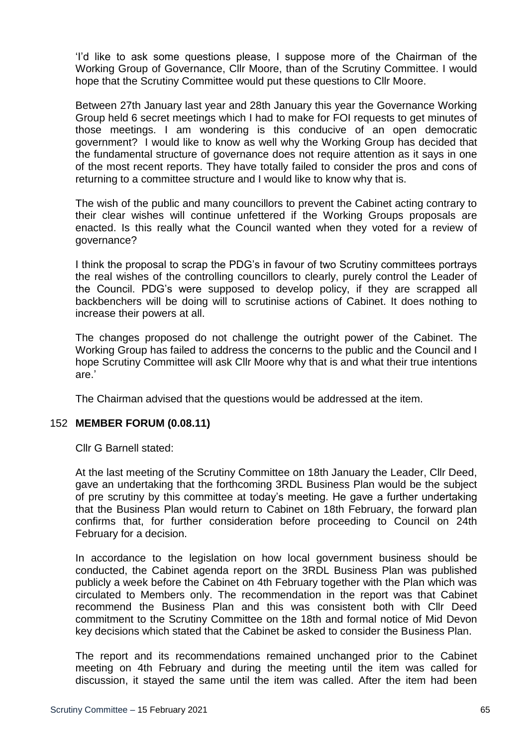'I'd like to ask some questions please, I suppose more of the Chairman of the Working Group of Governance, Cllr Moore, than of the Scrutiny Committee. I would hope that the Scrutiny Committee would put these questions to Cllr Moore.

Between 27th January last year and 28th January this year the Governance Working Group held 6 secret meetings which I had to make for FOI requests to get minutes of those meetings. I am wondering is this conducive of an open democratic government? I would like to know as well why the Working Group has decided that the fundamental structure of governance does not require attention as it says in one of the most recent reports. They have totally failed to consider the pros and cons of returning to a committee structure and I would like to know why that is.

The wish of the public and many councillors to prevent the Cabinet acting contrary to their clear wishes will continue unfettered if the Working Groups proposals are enacted. Is this really what the Council wanted when they voted for a review of governance?

I think the proposal to scrap the PDG's in favour of two Scrutiny committees portrays the real wishes of the controlling councillors to clearly, purely control the Leader of the Council. PDG's were supposed to develop policy, if they are scrapped all backbenchers will be doing will to scrutinise actions of Cabinet. It does nothing to increase their powers at all.

The changes proposed do not challenge the outright power of the Cabinet. The Working Group has failed to address the concerns to the public and the Council and I hope Scrutiny Committee will ask Cllr Moore why that is and what their true intentions are.'

The Chairman advised that the questions would be addressed at the item.

## 152 **MEMBER FORUM (0.08.11)**

Cllr G Barnell stated:

At the last meeting of the Scrutiny Committee on 18th January the Leader, Cllr Deed, gave an undertaking that the forthcoming 3RDL Business Plan would be the subject of pre scrutiny by this committee at today's meeting. He gave a further undertaking that the Business Plan would return to Cabinet on 18th February, the forward plan confirms that, for further consideration before proceeding to Council on 24th February for a decision.

In accordance to the legislation on how local government business should be conducted, the Cabinet agenda report on the 3RDL Business Plan was published publicly a week before the Cabinet on 4th February together with the Plan which was circulated to Members only. The recommendation in the report was that Cabinet recommend the Business Plan and this was consistent both with Cllr Deed commitment to the Scrutiny Committee on the 18th and formal notice of Mid Devon key decisions which stated that the Cabinet be asked to consider the Business Plan.

The report and its recommendations remained unchanged prior to the Cabinet meeting on 4th February and during the meeting until the item was called for discussion, it stayed the same until the item was called. After the item had been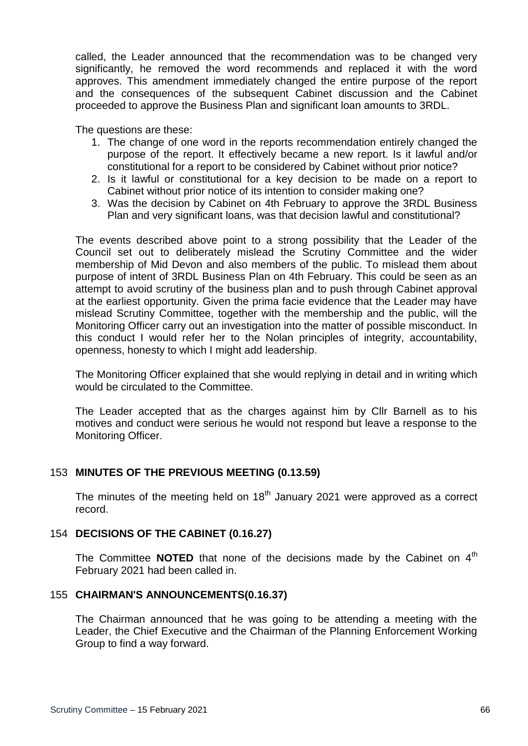called, the Leader announced that the recommendation was to be changed very significantly, he removed the word recommends and replaced it with the word approves. This amendment immediately changed the entire purpose of the report and the consequences of the subsequent Cabinet discussion and the Cabinet proceeded to approve the Business Plan and significant loan amounts to 3RDL.

The questions are these:

- 1. The change of one word in the reports recommendation entirely changed the purpose of the report. It effectively became a new report. Is it lawful and/or constitutional for a report to be considered by Cabinet without prior notice?
- 2. Is it lawful or constitutional for a key decision to be made on a report to Cabinet without prior notice of its intention to consider making one?
- 3. Was the decision by Cabinet on 4th February to approve the 3RDL Business Plan and very significant loans, was that decision lawful and constitutional?

The events described above point to a strong possibility that the Leader of the Council set out to deliberately mislead the Scrutiny Committee and the wider membership of Mid Devon and also members of the public. To mislead them about purpose of intent of 3RDL Business Plan on 4th February. This could be seen as an attempt to avoid scrutiny of the business plan and to push through Cabinet approval at the earliest opportunity. Given the prima facie evidence that the Leader may have mislead Scrutiny Committee, together with the membership and the public, will the Monitoring Officer carry out an investigation into the matter of possible misconduct. In this conduct I would refer her to the Nolan principles of integrity, accountability, openness, honesty to which I might add leadership.

The Monitoring Officer explained that she would replying in detail and in writing which would be circulated to the Committee.

The Leader accepted that as the charges against him by Cllr Barnell as to his motives and conduct were serious he would not respond but leave a response to the Monitoring Officer.

## 153 **MINUTES OF THE PREVIOUS MEETING (0.13.59)**

The minutes of the meeting held on  $18<sup>th</sup>$  January 2021 were approved as a correct record.

## 154 **DECISIONS OF THE CABINET (0.16.27)**

The Committee **NOTED** that none of the decisions made by the Cabinet on 4<sup>th</sup> February 2021 had been called in.

## 155 **CHAIRMAN'S ANNOUNCEMENTS(0.16.37)**

The Chairman announced that he was going to be attending a meeting with the Leader, the Chief Executive and the Chairman of the Planning Enforcement Working Group to find a way forward.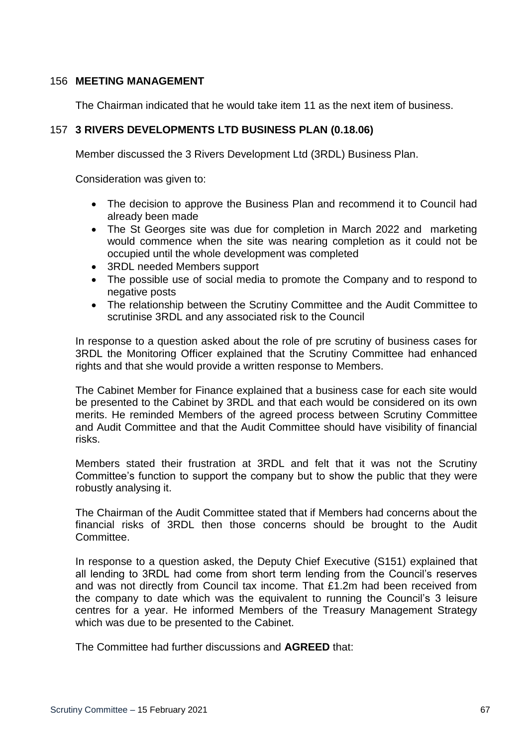## 156 **MEETING MANAGEMENT**

The Chairman indicated that he would take item 11 as the next item of business.

## 157 **3 RIVERS DEVELOPMENTS LTD BUSINESS PLAN (0.18.06)**

Member discussed the 3 Rivers Development Ltd (3RDL) Business Plan.

Consideration was given to:

- The decision to approve the Business Plan and recommend it to Council had already been made
- The St Georges site was due for completion in March 2022 and marketing would commence when the site was nearing completion as it could not be occupied until the whole development was completed
- 3RDL needed Members support
- The possible use of social media to promote the Company and to respond to negative posts
- The relationship between the Scrutiny Committee and the Audit Committee to scrutinise 3RDL and any associated risk to the Council

In response to a question asked about the role of pre scrutiny of business cases for 3RDL the Monitoring Officer explained that the Scrutiny Committee had enhanced rights and that she would provide a written response to Members.

The Cabinet Member for Finance explained that a business case for each site would be presented to the Cabinet by 3RDL and that each would be considered on its own merits. He reminded Members of the agreed process between Scrutiny Committee and Audit Committee and that the Audit Committee should have visibility of financial risks.

Members stated their frustration at 3RDL and felt that it was not the Scrutiny Committee's function to support the company but to show the public that they were robustly analysing it.

The Chairman of the Audit Committee stated that if Members had concerns about the financial risks of 3RDL then those concerns should be brought to the Audit Committee.

In response to a question asked, the Deputy Chief Executive (S151) explained that all lending to 3RDL had come from short term lending from the Council's reserves and was not directly from Council tax income. That £1.2m had been received from the company to date which was the equivalent to running the Council's 3 leisure centres for a year. He informed Members of the Treasury Management Strategy which was due to be presented to the Cabinet.

The Committee had further discussions and **AGREED** that: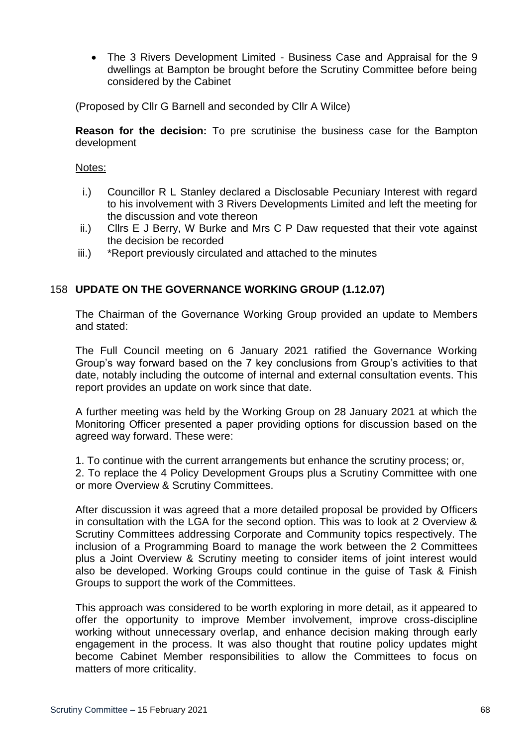The 3 Rivers Development Limited - Business Case and Appraisal for the 9 dwellings at Bampton be brought before the Scrutiny Committee before being considered by the Cabinet

(Proposed by Cllr G Barnell and seconded by Cllr A Wilce)

**Reason for the decision:** To pre scrutinise the business case for the Bampton development

#### Notes:

- i.) Councillor R L Stanley declared a Disclosable Pecuniary Interest with regard to his involvement with 3 Rivers Developments Limited and left the meeting for the discussion and vote thereon
- ii.) Cllrs E J Berry, W Burke and Mrs C P Daw requested that their vote against the decision be recorded
- iii.) \*Report previously circulated and attached to the minutes

## 158 **UPDATE ON THE GOVERNANCE WORKING GROUP (1.12.07)**

The Chairman of the Governance Working Group provided an update to Members and stated:

The Full Council meeting on 6 January 2021 ratified the Governance Working Group's way forward based on the 7 key conclusions from Group's activities to that date, notably including the outcome of internal and external consultation events. This report provides an update on work since that date.

A further meeting was held by the Working Group on 28 January 2021 at which the Monitoring Officer presented a paper providing options for discussion based on the agreed way forward. These were:

1. To continue with the current arrangements but enhance the scrutiny process; or,

2. To replace the 4 Policy Development Groups plus a Scrutiny Committee with one or more Overview & Scrutiny Committees.

After discussion it was agreed that a more detailed proposal be provided by Officers in consultation with the LGA for the second option. This was to look at 2 Overview & Scrutiny Committees addressing Corporate and Community topics respectively. The inclusion of a Programming Board to manage the work between the 2 Committees plus a Joint Overview & Scrutiny meeting to consider items of joint interest would also be developed. Working Groups could continue in the guise of Task & Finish Groups to support the work of the Committees.

This approach was considered to be worth exploring in more detail, as it appeared to offer the opportunity to improve Member involvement, improve cross-discipline working without unnecessary overlap, and enhance decision making through early engagement in the process. It was also thought that routine policy updates might become Cabinet Member responsibilities to allow the Committees to focus on matters of more criticality.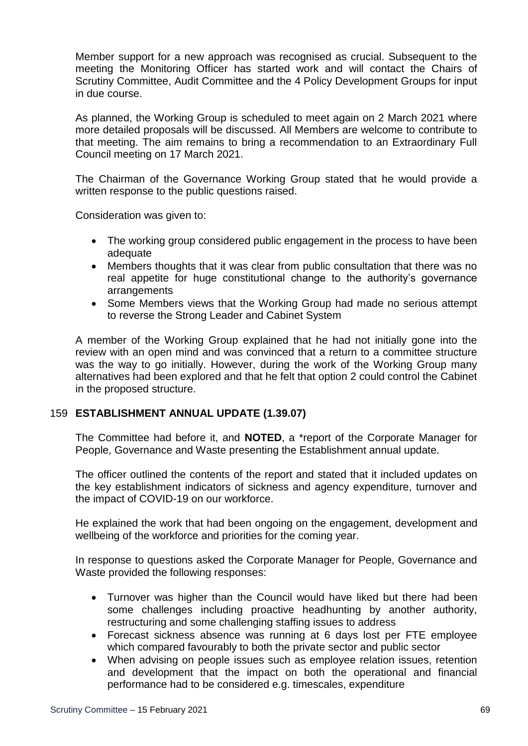Member support for a new approach was recognised as crucial. Subsequent to the meeting the Monitoring Officer has started work and will contact the Chairs of Scrutiny Committee, Audit Committee and the 4 Policy Development Groups for input in due course.

As planned, the Working Group is scheduled to meet again on 2 March 2021 where more detailed proposals will be discussed. All Members are welcome to contribute to that meeting. The aim remains to bring a recommendation to an Extraordinary Full Council meeting on 17 March 2021.

The Chairman of the Governance Working Group stated that he would provide a written response to the public questions raised.

Consideration was given to:

- The working group considered public engagement in the process to have been adequate
- Members thoughts that it was clear from public consultation that there was no real appetite for huge constitutional change to the authority's governance arrangements
- Some Members views that the Working Group had made no serious attempt to reverse the Strong Leader and Cabinet System

A member of the Working Group explained that he had not initially gone into the review with an open mind and was convinced that a return to a committee structure was the way to go initially. However, during the work of the Working Group many alternatives had been explored and that he felt that option 2 could control the Cabinet in the proposed structure.

## 159 **ESTABLISHMENT ANNUAL UPDATE (1.39.07)**

The Committee had before it, and **NOTED**, a \*report of the Corporate Manager for People, Governance and Waste presenting the Establishment annual update.

The officer outlined the contents of the report and stated that it included updates on the key establishment indicators of sickness and agency expenditure, turnover and the impact of COVID-19 on our workforce.

He explained the work that had been ongoing on the engagement, development and wellbeing of the workforce and priorities for the coming year.

In response to questions asked the Corporate Manager for People, Governance and Waste provided the following responses:

- Turnover was higher than the Council would have liked but there had been some challenges including proactive headhunting by another authority, restructuring and some challenging staffing issues to address
- Forecast sickness absence was running at 6 days lost per FTE employee which compared favourably to both the private sector and public sector
- When advising on people issues such as employee relation issues, retention and development that the impact on both the operational and financial performance had to be considered e.g. timescales, expenditure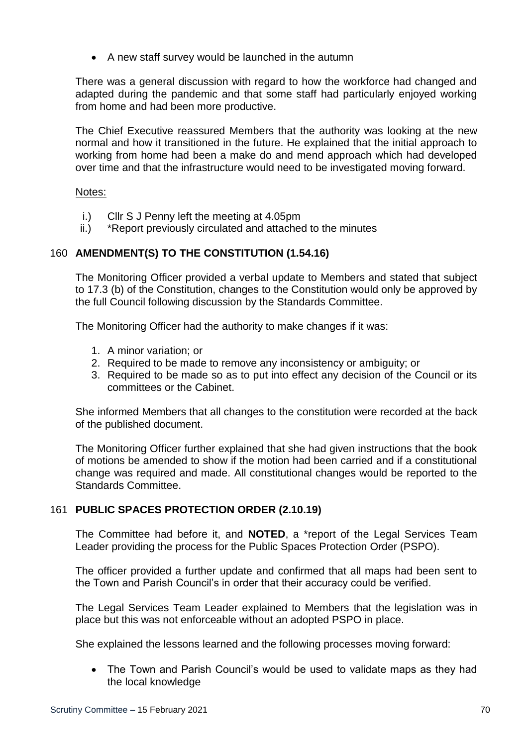A new staff survey would be launched in the autumn

There was a general discussion with regard to how the workforce had changed and adapted during the pandemic and that some staff had particularly enjoyed working from home and had been more productive.

The Chief Executive reassured Members that the authority was looking at the new normal and how it transitioned in the future. He explained that the initial approach to working from home had been a make do and mend approach which had developed over time and that the infrastructure would need to be investigated moving forward.

## Notes:

- i.) Cllr S J Penny left the meeting at 4.05pm
- ii.) \*Report previously circulated and attached to the minutes

# 160 **AMENDMENT(S) TO THE CONSTITUTION (1.54.16)**

The Monitoring Officer provided a verbal update to Members and stated that subject to 17.3 (b) of the Constitution, changes to the Constitution would only be approved by the full Council following discussion by the Standards Committee.

The Monitoring Officer had the authority to make changes if it was:

- 1. A minor variation; or
- 2. Required to be made to remove any inconsistency or ambiguity; or
- 3. Required to be made so as to put into effect any decision of the Council or its committees or the Cabinet.

She informed Members that all changes to the constitution were recorded at the back of the published document.

The Monitoring Officer further explained that she had given instructions that the book of motions be amended to show if the motion had been carried and if a constitutional change was required and made. All constitutional changes would be reported to the Standards Committee.

# 161 **PUBLIC SPACES PROTECTION ORDER (2.10.19)**

The Committee had before it, and **NOTED**, a \*report of the Legal Services Team Leader providing the process for the Public Spaces Protection Order (PSPO).

The officer provided a further update and confirmed that all maps had been sent to the Town and Parish Council's in order that their accuracy could be verified.

The Legal Services Team Leader explained to Members that the legislation was in place but this was not enforceable without an adopted PSPO in place.

She explained the lessons learned and the following processes moving forward:

• The Town and Parish Council's would be used to validate maps as they had the local knowledge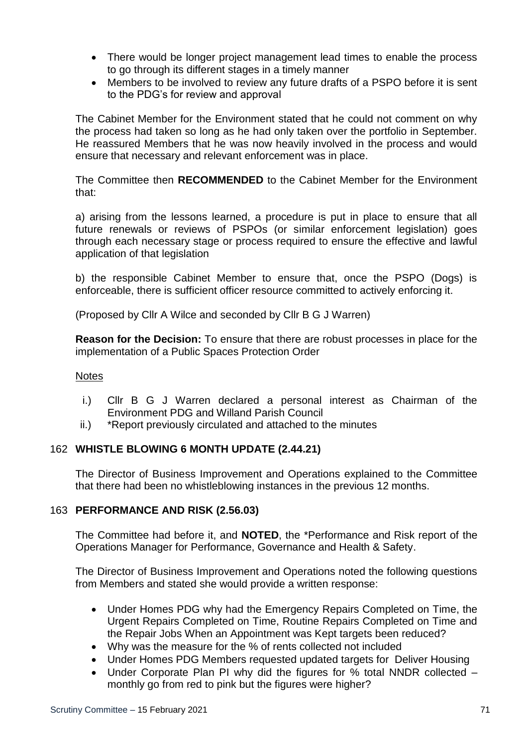- There would be longer project management lead times to enable the process to go through its different stages in a timely manner
- Members to be involved to review any future drafts of a PSPO before it is sent to the PDG's for review and approval

The Cabinet Member for the Environment stated that he could not comment on why the process had taken so long as he had only taken over the portfolio in September. He reassured Members that he was now heavily involved in the process and would ensure that necessary and relevant enforcement was in place.

The Committee then **RECOMMENDED** to the Cabinet Member for the Environment that:

a) arising from the lessons learned, a procedure is put in place to ensure that all future renewals or reviews of PSPOs (or similar enforcement legislation) goes through each necessary stage or process required to ensure the effective and lawful application of that legislation

b) the responsible Cabinet Member to ensure that, once the PSPO (Dogs) is enforceable, there is sufficient officer resource committed to actively enforcing it.

(Proposed by Cllr A Wilce and seconded by Cllr B G J Warren)

**Reason for the Decision:** To ensure that there are robust processes in place for the implementation of a Public Spaces Protection Order

## **Notes**

- i.) Cllr B G J Warren declared a personal interest as Chairman of the Environment PDG and Willand Parish Council
- ii.) \*Report previously circulated and attached to the minutes

# 162 **WHISTLE BLOWING 6 MONTH UPDATE (2.44.21)**

The Director of Business Improvement and Operations explained to the Committee that there had been no whistleblowing instances in the previous 12 months.

## 163 **PERFORMANCE AND RISK (2.56.03)**

The Committee had before it, and **NOTED**, the \*Performance and Risk report of the Operations Manager for Performance, Governance and Health & Safety.

The Director of Business Improvement and Operations noted the following questions from Members and stated she would provide a written response:

- Under Homes PDG why had the Emergency Repairs Completed on Time, the Urgent Repairs Completed on Time, Routine Repairs Completed on Time and the Repair Jobs When an Appointment was Kept targets been reduced?
- Why was the measure for the % of rents collected not included
- Under Homes PDG Members requested updated targets for Deliver Housing
- Under Corporate Plan PI why did the figures for % total NNDR collected monthly go from red to pink but the figures were higher?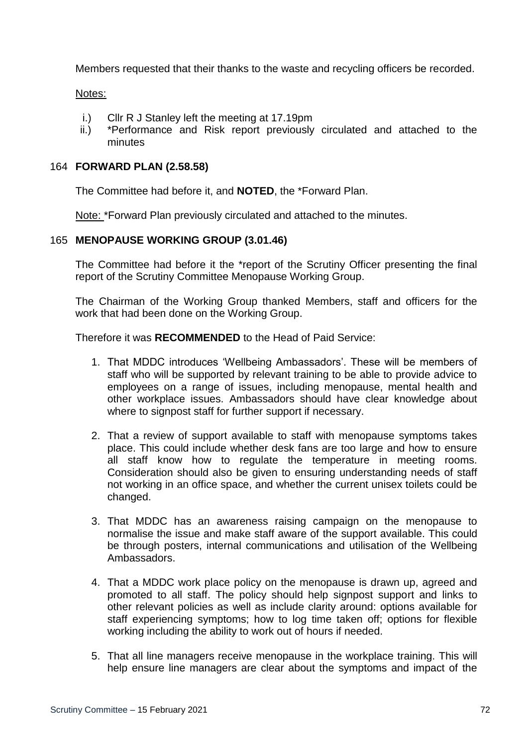Members requested that their thanks to the waste and recycling officers be recorded.

#### Notes:

- i.) Cllr R J Stanley left the meeting at 17.19pm
- ii.) \*Performance and Risk report previously circulated and attached to the minutes

#### 164 **FORWARD PLAN (2.58.58)**

The Committee had before it, and **NOTED**, the \*Forward Plan.

Note: \*Forward Plan previously circulated and attached to the minutes.

#### 165 **MENOPAUSE WORKING GROUP (3.01.46)**

The Committee had before it the \*report of the Scrutiny Officer presenting the final report of the Scrutiny Committee Menopause Working Group.

The Chairman of the Working Group thanked Members, staff and officers for the work that had been done on the Working Group.

Therefore it was **RECOMMENDED** to the Head of Paid Service:

- 1. That MDDC introduces 'Wellbeing Ambassadors'. These will be members of staff who will be supported by relevant training to be able to provide advice to employees on a range of issues, including menopause, mental health and other workplace issues. Ambassadors should have clear knowledge about where to signpost staff for further support if necessary.
- 2. That a review of support available to staff with menopause symptoms takes place. This could include whether desk fans are too large and how to ensure all staff know how to regulate the temperature in meeting rooms. Consideration should also be given to ensuring understanding needs of staff not working in an office space, and whether the current unisex toilets could be changed.
- 3. That MDDC has an awareness raising campaign on the menopause to normalise the issue and make staff aware of the support available. This could be through posters, internal communications and utilisation of the Wellbeing Ambassadors.
- 4. That a MDDC work place policy on the menopause is drawn up, agreed and promoted to all staff. The policy should help signpost support and links to other relevant policies as well as include clarity around: options available for staff experiencing symptoms; how to log time taken off; options for flexible working including the ability to work out of hours if needed.
- 5. That all line managers receive menopause in the workplace training. This will help ensure line managers are clear about the symptoms and impact of the